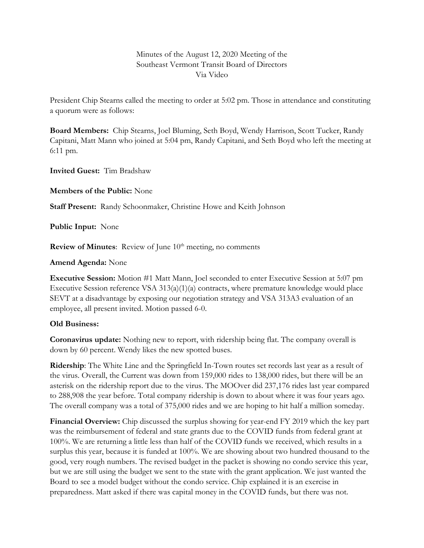Minutes of the August 12, 2020 Meeting of the Southeast Vermont Transit Board of Directors Via Video

President Chip Stearns called the meeting to order at 5:02 pm. Those in attendance and constituting a quorum were as follows:

**Board Members:** Chip Stearns, Joel Bluming, Seth Boyd, Wendy Harrison, Scott Tucker, Randy Capitani, Matt Mann who joined at 5:04 pm, Randy Capitani, and Seth Boyd who left the meeting at 6:11 pm.

**Invited Guest:** Tim Bradshaw

**Members of the Public:** None

**Staff Present:** Randy Schoonmaker, Christine Howe and Keith Johnson

**Public Input:** None

**Review of Minutes:** Review of June 10<sup>th</sup> meeting, no comments

### **Amend Agenda:** None

**Executive Session:** Motion #1 Matt Mann, Joel seconded to enter Executive Session at 5:07 pm Executive Session reference VSA 313(a)(1)(a) contracts, where premature knowledge would place SEVT at a disadvantage by exposing our negotiation strategy and VSA 313A3 evaluation of an employee, all present invited. Motion passed 6-0.

# **Old Business:**

**Coronavirus update:** Nothing new to report, with ridership being flat. The company overall is down by 60 percent. Wendy likes the new spotted buses.

**Ridership**: The White Line and the Springfield In-Town routes set records last year as a result of the virus. Overall, the Current was down from 159,000 rides to 138,000 rides, but there will be an asterisk on the ridership report due to the virus. The MOOver did 237,176 rides last year compared to 288,908 the year before. Total company ridership is down to about where it was four years ago. The overall company was a total of 375,000 rides and we are hoping to hit half a million someday.

**Financial Overview:** Chip discussed the surplus showing for year-end FY 2019 which the key part was the reimbursement of federal and state grants due to the COVID funds from federal grant at 100%. We are returning a little less than half of the COVID funds we received, which results in a surplus this year, because it is funded at 100%. We are showing about two hundred thousand to the good, very rough numbers. The revised budget in the packet is showing no condo service this year, but we are still using the budget we sent to the state with the grant application. We just wanted the Board to see a model budget without the condo service. Chip explained it is an exercise in preparedness. Matt asked if there was capital money in the COVID funds, but there was not.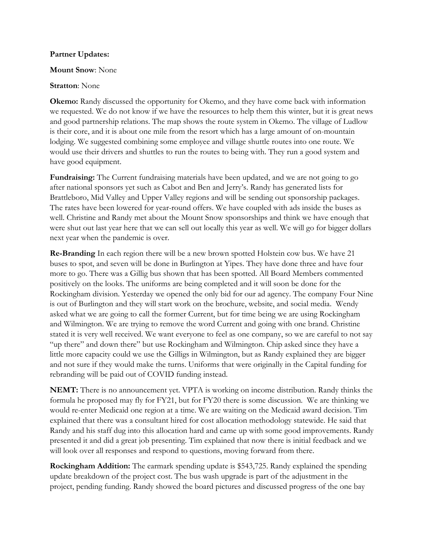#### **Partner Updates:**

#### **Mount Snow**: None

### **Stratton**: None

**Okemo:** Randy discussed the opportunity for Okemo, and they have come back with information we requested. We do not know if we have the resources to help them this winter, but it is great news and good partnership relations. The map shows the route system in Okemo. The village of Ludlow is their core, and it is about one mile from the resort which has a large amount of on-mountain lodging. We suggested combining some employee and village shuttle routes into one route. We would use their drivers and shuttles to run the routes to being with. They run a good system and have good equipment.

**Fundraising:** The Current fundraising materials have been updated, and we are not going to go after national sponsors yet such as Cabot and Ben and Jerry's. Randy has generated lists for Brattleboro, Mid Valley and Upper Valley regions and will be sending out sponsorship packages. The rates have been lowered for year-round offers. We have coupled with ads inside the buses as well. Christine and Randy met about the Mount Snow sponsorships and think we have enough that were shut out last year here that we can sell out locally this year as well. We will go for bigger dollars next year when the pandemic is over.

**Re-Branding** In each region there will be a new brown spotted Holstein cow bus. We have 21 buses to spot, and seven will be done in Burlington at Yipes. They have done three and have four more to go. There was a Gillig bus shown that has been spotted. All Board Members commented positively on the looks. The uniforms are being completed and it will soon be done for the Rockingham division. Yesterday we opened the only bid for our ad agency. The company Four Nine is out of Burlington and they will start work on the brochure, website, and social media. Wendy asked what we are going to call the former Current, but for time being we are using Rockingham and Wilmington. We are trying to remove the word Current and going with one brand. Christine stated it is very well received. We want everyone to feel as one company, so we are careful to not say "up there" and down there" but use Rockingham and Wilmington. Chip asked since they have a little more capacity could we use the Gilligs in Wilmington, but as Randy explained they are bigger and not sure if they would make the turns. Uniforms that were originally in the Capital funding for rebranding will be paid out of COVID funding instead.

**NEMT:** There is no announcement yet. VPTA is working on income distribution. Randy thinks the formula he proposed may fly for FY21, but for FY20 there is some discussion. We are thinking we would re-enter Medicaid one region at a time. We are waiting on the Medicaid award decision. Tim explained that there was a consultant hired for cost allocation methodology statewide. He said that Randy and his staff dug into this allocation hard and came up with some good improvements. Randy presented it and did a great job presenting. Tim explained that now there is initial feedback and we will look over all responses and respond to questions, moving forward from there.

**Rockingham Addition:** The earmark spending update is \$543,725. Randy explained the spending update breakdown of the project cost. The bus wash upgrade is part of the adjustment in the project, pending funding. Randy showed the board pictures and discussed progress of the one bay